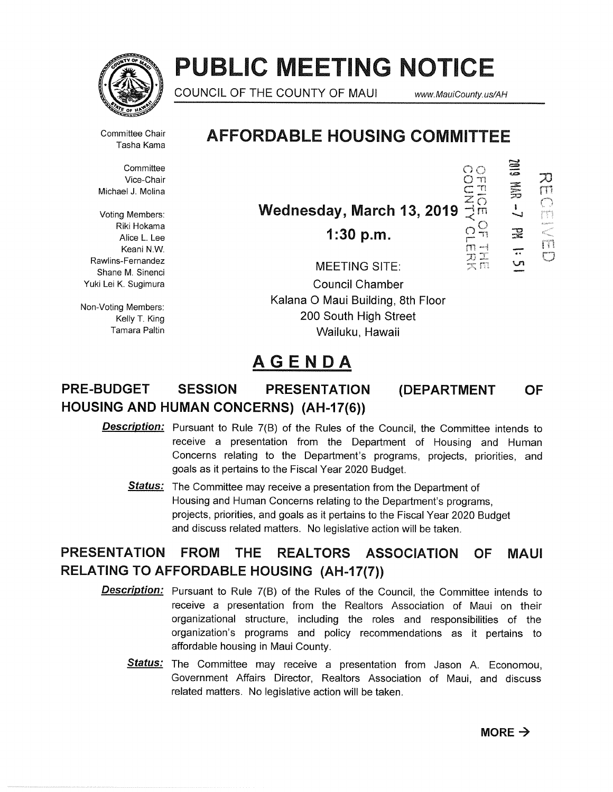

# PUBLIC MEETING NOTICE

COUNCIL OF THE COUNTY OF MAUI www.MauiCounty.us/AH

 $\frac{1}{2}$ 

 $\Xi$ 

 $\Xi$ 

 $\mathbb{R}$ ÷

刀

**Committee** Vice-Chair  $\bigcirc$  in the contract of  $\bigcirc$  in the contract of  $\bigcirc$  in the contract of  $\bigcirc$  in the contract of  $\bigcirc$  in the contract of  $\bigcirc$  in the contract of  $\bigcirc$  in the contract of  $\bigcirc$  in the contract of  $\bigcirc$  in t Michael J. Molina  $\subseteq \mathbb{R}$ 

Riki Hokama Niki Hokama<br>Alice L. Lee 1:30 p.m.  $\begin{array}{cc} \bigcap\limits_{\mathsf{C}\subset \mathsf{N}}\mathsf{C} \ \mathsf{N}\ \mathsf{K}\ \mathsf{E}\ \mathsf{K}\ \mathsf{C}\ \mathsf{N}\ \mathsf{N}\ \mathsf{N}\ \mathsf{N}\ \mathsf{N}\ \mathsf{N}\ \mathsf{N}\ \mathsf{N}\ \mathsf{N}\ \mathsf{N}\ \mathsf{N}\ \mathsf{N}\ \mathsf{N}\ \mathsf{N}\ \mathsf{N}\ \mathsf{N}\ \mathsf{N}\ \mathsf{N}\ \mathsf{N}\ \mathsf{N}\ \math$ Keani N.W.

## Committee Chair **AFFORDABLE HOUSING COMMITTEE**

 $V_{\text{Original 3. Normal}}$ <br>Voting Members: **Wednesday, March 13, 2019**  $\frac{2}{3}$ m

Rawlins-Fernandez<br>
Shane M. Sinenci<br>
Shane M. Sinenci Yuki Lei K. Sugimura **Council Chamber** Non-Voting Members: **National Community Control Control Control Control Control Control Control Control Control Control Control Control Control National Control Control Control Control Control National Control Control Cont** Kelly T. King **Example 200 South High Street** Tamara Paltin Wailuku, Hawaii

## AGENDA

### PRE-BUDGET SESSION PRESENTATION (DEPARTMENT OF HOUSING AND HUMAN CONCERNS) (AH-17(6))

Description: Pursuant to Rule 7(B) of the Rules of the Council, the Committee intends to receive a presentation from the Department of Housing and Human Concerns relating to the Department's programs, projects, priorities, and goals as it pertains to the Fiscal Year 2020 Budget.

**Status:** The Committee may receive a presentation from the Department of Housing and Human Concerns relating to the Department's programs, projects, priorities, and goals as it pertains to the Fiscal Year 2020 Budget and discuss related matters. No legislative action will be taken.

## PRESENTATION FROM THE REALTORS ASSOCIATION OF MAUI RELATING TO AFFORDABLE HOUSING (AH-17(7))

- **Description:** Pursuant to Rule 7(B) of the Rules of the Council, the Committee intends to receive a presentation from the Realtors Association of Maui on their organizational structure, including the roles and responsibilities of the organization's programs and policy recommendations as it pertains to affordable housing in Maui County.
	- Status: The Committee may receive a presentation from Jason A. Economou, Government Affairs Director, Realtors Association of Maui, and discuss related matters. No legislative action will be taken.